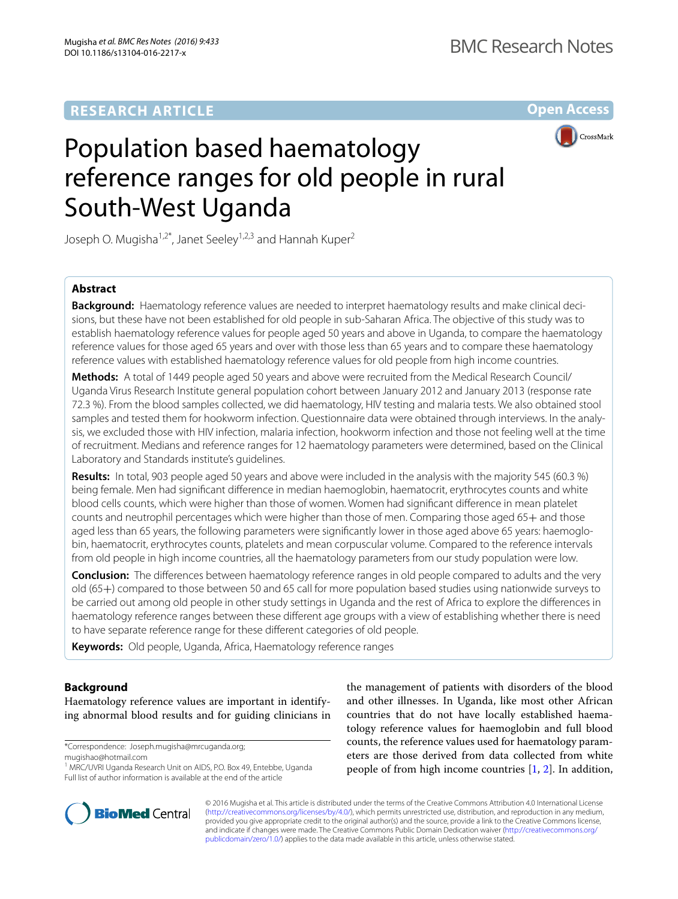# **RESEARCH ARTICLE**

**Open Access**



# Population based haematology reference ranges for old people in rural South-West Uganda

Joseph O. Mugisha<sup>1,2\*</sup>, Janet Seeley<sup>1,2,3</sup> and Hannah Kuper<sup>2</sup>

# **Abstract**

**Background:** Haematology reference values are needed to interpret haematology results and make clinical decisions, but these have not been established for old people in sub-Saharan Africa. The objective of this study was to establish haematology reference values for people aged 50 years and above in Uganda, to compare the haematology reference values for those aged 65 years and over with those less than 65 years and to compare these haematology reference values with established haematology reference values for old people from high income countries.

**Methods:** A total of 1449 people aged 50 years and above were recruited from the Medical Research Council/ Uganda Virus Research Institute general population cohort between January 2012 and January 2013 (response rate 72.3 %). From the blood samples collected, we did haematology, HIV testing and malaria tests. We also obtained stool samples and tested them for hookworm infection. Questionnaire data were obtained through interviews. In the analysis, we excluded those with HIV infection, malaria infection, hookworm infection and those not feeling well at the time of recruitment. Medians and reference ranges for 12 haematology parameters were determined, based on the Clinical Laboratory and Standards institute's guidelines.

**Results:** In total, 903 people aged 50 years and above were included in the analysis with the majority 545 (60.3 %) being female. Men had significant difference in median haemoglobin, haematocrit, erythrocytes counts and white blood cells counts, which were higher than those of women. Women had significant difference in mean platelet counts and neutrophil percentages which were higher than those of men. Comparing those aged 65+ and those aged less than 65 years, the following parameters were significantly lower in those aged above 65 years: haemoglobin, haematocrit, erythrocytes counts, platelets and mean corpuscular volume. Compared to the reference intervals from old people in high income countries, all the haematology parameters from our study population were low.

**Conclusion:** The differences between haematology reference ranges in old people compared to adults and the very old (65+) compared to those between 50 and 65 call for more population based studies using nationwide surveys to be carried out among old people in other study settings in Uganda and the rest of Africa to explore the differences in haematology reference ranges between these different age groups with a view of establishing whether there is need to have separate reference range for these different categories of old people.

**Keywords:** Old people, Uganda, Africa, Haematology reference ranges

## **Background**

Haematology reference values are important in identifying abnormal blood results and for guiding clinicians in

\*Correspondence: Joseph.mugisha@mrcuganda.org;

mugishao@hotmail.com

<sup>1</sup> MRC/UVRI Uganda Research Unit on AIDS, P.O. Box 49, Entebbe, Uganda Full list of author information is available at the end of the article

the management of patients with disorders of the blood and other illnesses. In Uganda, like most other African countries that do not have locally established haematology reference values for haemoglobin and full blood counts, the reference values used for haematology parameters are those derived from data collected from white people of from high income countries [\[1](#page-7-0), [2](#page-7-1)]. In addition,



© 2016 Mugisha et al. This article is distributed under the terms of the Creative Commons Attribution 4.0 International License [\(http://creativecommons.org/licenses/by/4.0/\)](http://creativecommons.org/licenses/by/4.0/), which permits unrestricted use, distribution, and reproduction in any medium, provided you give appropriate credit to the original author(s) and the source, provide a link to the Creative Commons license, and indicate if changes were made. The Creative Commons Public Domain Dedication waiver ([http://creativecommons.org/](http://creativecommons.org/publicdomain/zero/1.0/) [publicdomain/zero/1.0/](http://creativecommons.org/publicdomain/zero/1.0/)) applies to the data made available in this article, unless otherwise stated.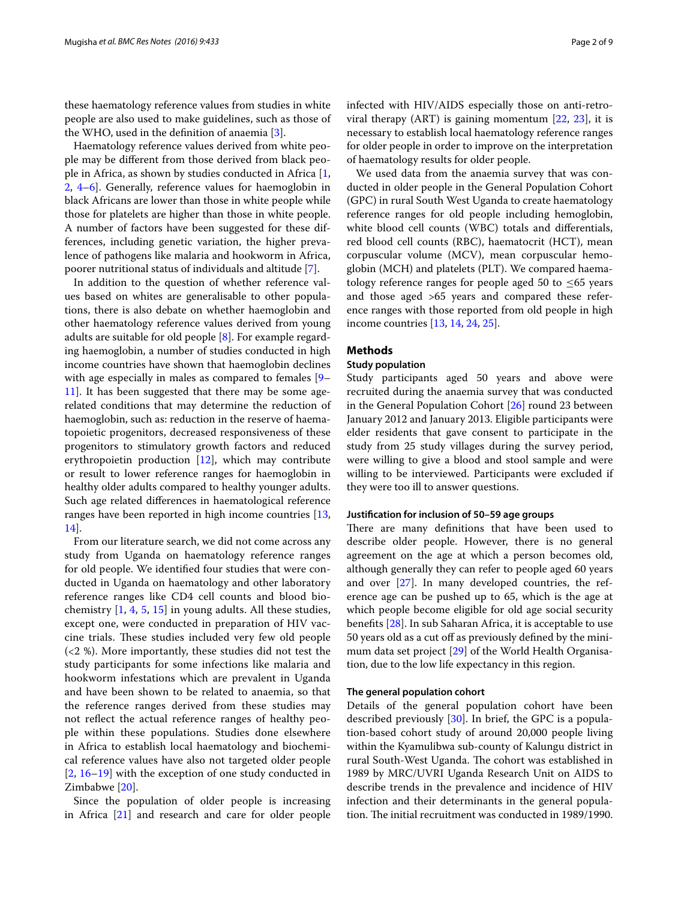these haematology reference values from studies in white people are also used to make guidelines, such as those of the WHO, used in the definition of anaemia [[3\]](#page-7-2).

Haematology reference values derived from white people may be different from those derived from black people in Africa, as shown by studies conducted in Africa [\[1](#page-7-0), [2,](#page-7-1) [4–](#page-7-3)[6\]](#page-7-4). Generally, reference values for haemoglobin in black Africans are lower than those in white people while those for platelets are higher than those in white people. A number of factors have been suggested for these differences, including genetic variation, the higher prevalence of pathogens like malaria and hookworm in Africa, poorer nutritional status of individuals and altitude [[7\]](#page-7-5).

In addition to the question of whether reference values based on whites are generalisable to other populations, there is also debate on whether haemoglobin and other haematology reference values derived from young adults are suitable for old people [\[8](#page-7-6)]. For example regarding haemoglobin, a number of studies conducted in high income countries have shown that haemoglobin declines with age especially in males as compared to females [[9–](#page-7-7) [11\]](#page-7-8). It has been suggested that there may be some agerelated conditions that may determine the reduction of haemoglobin, such as: reduction in the reserve of haematopoietic progenitors, decreased responsiveness of these progenitors to stimulatory growth factors and reduced erythropoietin production [[12](#page-7-9)], which may contribute or result to lower reference ranges for haemoglobin in healthy older adults compared to healthy younger adults. Such age related differences in haematological reference ranges have been reported in high income countries [\[13](#page-7-10), [14\]](#page-7-11).

From our literature search, we did not come across any study from Uganda on haematology reference ranges for old people. We identified four studies that were conducted in Uganda on haematology and other laboratory reference ranges like CD4 cell counts and blood biochemistry  $[1, 4, 5, 15]$  $[1, 4, 5, 15]$  $[1, 4, 5, 15]$  $[1, 4, 5, 15]$  $[1, 4, 5, 15]$  $[1, 4, 5, 15]$  $[1, 4, 5, 15]$  $[1, 4, 5, 15]$  $[1, 4, 5, 15]$  in young adults. All these studies, except one, were conducted in preparation of HIV vaccine trials. These studies included very few old people (<2 %). More importantly, these studies did not test the study participants for some infections like malaria and hookworm infestations which are prevalent in Uganda and have been shown to be related to anaemia, so that the reference ranges derived from these studies may not reflect the actual reference ranges of healthy people within these populations. Studies done elsewhere in Africa to establish local haematology and biochemical reference values have also not targeted older people [[2,](#page-7-1) [16–](#page-7-14)[19\]](#page-7-15) with the exception of one study conducted in Zimbabwe [\[20](#page-7-16)].

Since the population of older people is increasing in Africa [[21](#page-7-17)] and research and care for older people infected with HIV/AIDS especially those on anti-retroviral therapy (ART) is gaining momentum [\[22](#page-7-18), [23\]](#page-7-19), it is necessary to establish local haematology reference ranges for older people in order to improve on the interpretation of haematology results for older people.

We used data from the anaemia survey that was conducted in older people in the General Population Cohort (GPC) in rural South West Uganda to create haematology reference ranges for old people including hemoglobin, white blood cell counts (WBC) totals and differentials, red blood cell counts (RBC), haematocrit (HCT), mean corpuscular volume (MCV), mean corpuscular hemoglobin (MCH) and platelets (PLT). We compared haematology reference ranges for people aged 50 to  $\leq 65$  years and those aged >65 years and compared these reference ranges with those reported from old people in high income countries [\[13,](#page-7-10) [14](#page-7-11), [24,](#page-7-20) [25\]](#page-7-21).

## **Methods**

#### **Study population**

Study participants aged 50 years and above were recruited during the anaemia survey that was conducted in the General Population Cohort [[26](#page-7-22)] round 23 between January 2012 and January 2013. Eligible participants were elder residents that gave consent to participate in the study from 25 study villages during the survey period, were willing to give a blood and stool sample and were willing to be interviewed. Participants were excluded if they were too ill to answer questions.

#### **Justification for inclusion of 50–59 age groups**

There are many definitions that have been used to describe older people. However, there is no general agreement on the age at which a person becomes old, although generally they can refer to people aged 60 years and over [\[27](#page-8-0)]. In many developed countries, the reference age can be pushed up to 65, which is the age at which people become eligible for old age social security benefits [\[28](#page-8-1)]. In sub Saharan Africa, it is acceptable to use 50 years old as a cut off as previously defined by the minimum data set project [[29\]](#page-8-2) of the World Health Organisation, due to the low life expectancy in this region.

#### **The general population cohort**

Details of the general population cohort have been described previously [\[30\]](#page-8-3). In brief, the GPC is a population-based cohort study of around 20,000 people living within the Kyamulibwa sub-county of Kalungu district in rural South-West Uganda. The cohort was established in 1989 by MRC/UVRI Uganda Research Unit on AIDS to describe trends in the prevalence and incidence of HIV infection and their determinants in the general population. The initial recruitment was conducted in 1989/1990.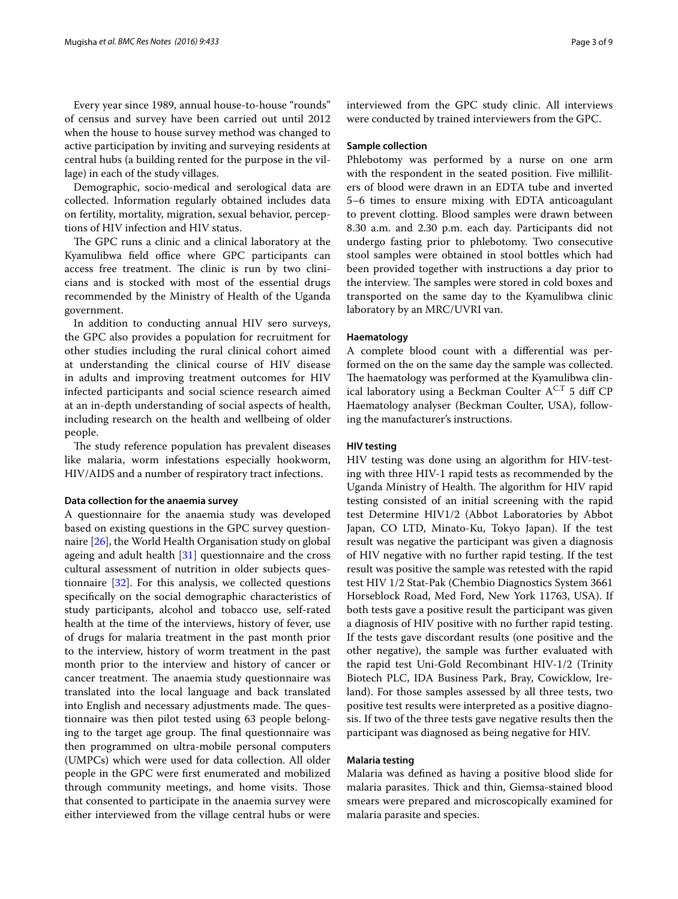Every year since 1989, annual house-to-house "rounds" of census and survey have been carried out until 2012 when the house to house survey method was changed to active participation by inviting and surveying residents at central hubs (a building rented for the purpose in the village) in each of the study villages.

Demographic, socio-medical and serological data are collected. Information regularly obtained includes data on fertility, mortality, migration, sexual behavior, perceptions of HIV infection and HIV status.

The GPC runs a clinic and a clinical laboratory at the Kyamulibwa field office where GPC participants can access free treatment. The clinic is run by two clinicians and is stocked with most of the essential drugs recommended by the Ministry of Health of the Uganda government.

In addition to conducting annual HIV sero surveys, the GPC also provides a population for recruitment for other studies including the rural clinical cohort aimed at understanding the clinical course of HIV disease in adults and improving treatment outcomes for HIV infected participants and social science research aimed at an in-depth understanding of social aspects of health, including research on the health and wellbeing of older people.

The study reference population has prevalent diseases like malaria, worm infestations especially hookworm, HIV/AIDS and a number of respiratory tract infections.

#### **Data collection for the anaemia survey**

A questionnaire for the anaemia study was developed based on existing questions in the GPC survey questionnaire [[26\]](#page-7-22), the World Health Organisation study on global ageing and adult health [\[31\]](#page-8-4) questionnaire and the cross cultural assessment of nutrition in older subjects questionnaire [\[32\]](#page-8-5). For this analysis, we collected questions specifically on the social demographic characteristics of study participants, alcohol and tobacco use, self-rated health at the time of the interviews, history of fever, use of drugs for malaria treatment in the past month prior to the interview, history of worm treatment in the past month prior to the interview and history of cancer or cancer treatment. The anaemia study questionnaire was translated into the local language and back translated into English and necessary adjustments made. The questionnaire was then pilot tested using 63 people belonging to the target age group. The final questionnaire was then programmed on ultra-mobile personal computers (UMPCs) which were used for data collection. All older people in the GPC were first enumerated and mobilized through community meetings, and home visits. Those that consented to participate in the anaemia survey were either interviewed from the village central hubs or were interviewed from the GPC study clinic. All interviews were conducted by trained interviewers from the GPC.

#### **Sample collection**

Phlebotomy was performed by a nurse on one arm with the respondent in the seated position. Five milliliters of blood were drawn in an EDTA tube and inverted 5–6 times to ensure mixing with EDTA anticoagulant to prevent clotting. Blood samples were drawn between 8.30 a.m. and 2.30 p.m. each day. Participants did not undergo fasting prior to phlebotomy. Two consecutive stool samples were obtained in stool bottles which had been provided together with instructions a day prior to the interview. The samples were stored in cold boxes and transported on the same day to the Kyamulibwa clinic laboratory by an MRC/UVRI van.

#### **Haematology**

A complete blood count with a differential was performed on the on the same day the sample was collected. The haematology was performed at the Kyamulibwa clinical laboratory using a Beckman Coulter  $A^{C,T}$  5 diff CP Haematology analyser (Beckman Coulter, USA), following the manufacturer's instructions.

#### **HIV testing**

HIV testing was done using an algorithm for HIV-testing with three HIV-1 rapid tests as recommended by the Uganda Ministry of Health. The algorithm for HIV rapid testing consisted of an initial screening with the rapid test Determine HIV1/2 (Abbot Laboratories by Abbot Japan, CO LTD, Minato-Ku, Tokyo Japan). If the test result was negative the participant was given a diagnosis of HIV negative with no further rapid testing. If the test result was positive the sample was retested with the rapid test HIV 1/2 Stat-Pak (Chembio Diagnostics System 3661 Horseblock Road, Med Ford, New York 11763, USA). If both tests gave a positive result the participant was given a diagnosis of HIV positive with no further rapid testing. If the tests gave discordant results (one positive and the other negative), the sample was further evaluated with the rapid test Uni-Gold Recombinant HIV-1/2 (Trinity Biotech PLC, IDA Business Park, Bray, Cowicklow, Ireland). For those samples assessed by all three tests, two positive test results were interpreted as a positive diagnosis. If two of the three tests gave negative results then the participant was diagnosed as being negative for HIV.

## **Malaria testing**

Malaria was defined as having a positive blood slide for malaria parasites. Thick and thin, Giemsa-stained blood smears were prepared and microscopically examined for malaria parasite and species.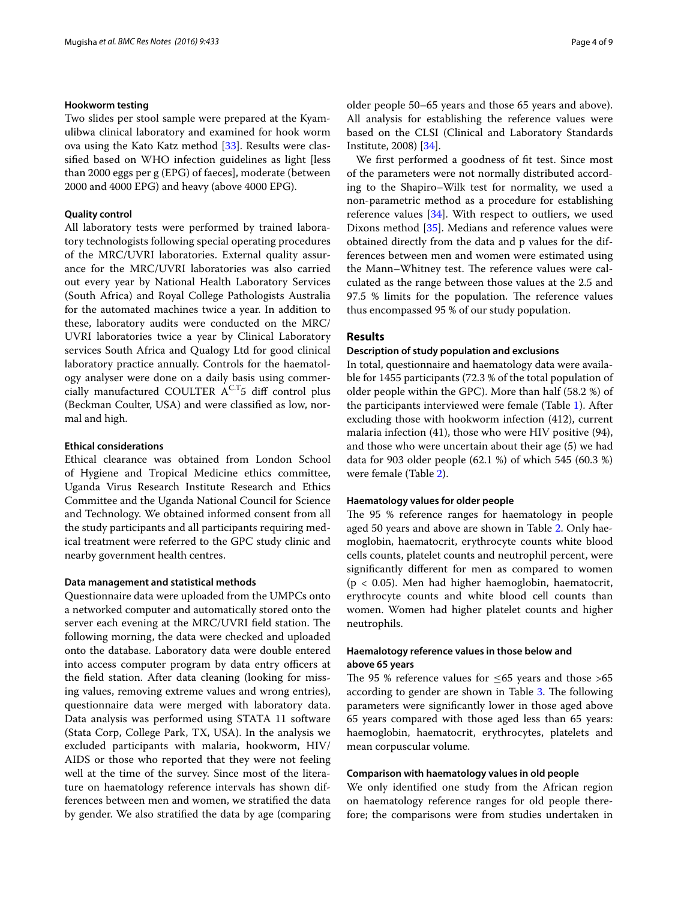#### **Hookworm testing**

Two slides per stool sample were prepared at the Kyamulibwa clinical laboratory and examined for hook worm ova using the Kato Katz method [[33\]](#page-8-6). Results were classified based on WHO infection guidelines as light [less than 2000 eggs per g (EPG) of faeces], moderate (between 2000 and 4000 EPG) and heavy (above 4000 EPG).

#### **Quality control**

All laboratory tests were performed by trained laboratory technologists following special operating procedures of the MRC/UVRI laboratories. External quality assurance for the MRC/UVRI laboratories was also carried out every year by National Health Laboratory Services (South Africa) and Royal College Pathologists Australia for the automated machines twice a year. In addition to these, laboratory audits were conducted on the MRC/ UVRI laboratories twice a year by Clinical Laboratory services South Africa and Qualogy Ltd for good clinical laboratory practice annually. Controls for the haematology analyser were done on a daily basis using commercially manufactured COULTER A<sup>C.T</sup>5 diff control plus (Beckman Coulter, USA) and were classified as low, normal and high.

#### **Ethical considerations**

Ethical clearance was obtained from London School of Hygiene and Tropical Medicine ethics committee, Uganda Virus Research Institute Research and Ethics Committee and the Uganda National Council for Science and Technology. We obtained informed consent from all the study participants and all participants requiring medical treatment were referred to the GPC study clinic and nearby government health centres.

#### **Data management and statistical methods**

Questionnaire data were uploaded from the UMPCs onto a networked computer and automatically stored onto the server each evening at the MRC/UVRI field station. The following morning, the data were checked and uploaded onto the database. Laboratory data were double entered into access computer program by data entry officers at the field station. After data cleaning (looking for missing values, removing extreme values and wrong entries), questionnaire data were merged with laboratory data. Data analysis was performed using STATA 11 software (Stata Corp, College Park, TX, USA). In the analysis we excluded participants with malaria, hookworm, HIV/ AIDS or those who reported that they were not feeling well at the time of the survey. Since most of the literature on haematology reference intervals has shown differences between men and women, we stratified the data by gender. We also stratified the data by age (comparing older people 50–65 years and those 65 years and above). All analysis for establishing the reference values were based on the CLSI (Clinical and Laboratory Standards Institute, 2008) [\[34](#page-8-7)].

We first performed a goodness of fit test. Since most of the parameters were not normally distributed according to the Shapiro–Wilk test for normality, we used a non-parametric method as a procedure for establishing reference values [[34](#page-8-7)]. With respect to outliers, we used Dixons method [[35\]](#page-8-8). Medians and reference values were obtained directly from the data and p values for the differences between men and women were estimated using the Mann–Whitney test. The reference values were calculated as the range between those values at the 2.5 and 97.5 % limits for the population. The reference values thus encompassed 95 % of our study population.

#### **Results**

#### **Description of study population and exclusions**

In total, questionnaire and haematology data were available for 1455 participants (72.3 % of the total population of older people within the GPC). More than half (58.2 %) of the participants interviewed were female (Table [1\)](#page-4-0). After excluding those with hookworm infection (412), current malaria infection (41), those who were HIV positive (94), and those who were uncertain about their age (5) we had data for 903 older people (62.1 %) of which 545 (60.3 %) were female (Table [2\)](#page-4-1).

#### **Haematology values for older people**

The 95 % reference ranges for haematology in people aged 50 years and above are shown in Table [2.](#page-4-1) Only haemoglobin, haematocrit, erythrocyte counts white blood cells counts, platelet counts and neutrophil percent, were significantly different for men as compared to women  $(p < 0.05)$ . Men had higher haemoglobin, haematocrit, erythrocyte counts and white blood cell counts than women. Women had higher platelet counts and higher neutrophils.

## **Haemalotogy reference values in those below and above 65 years**

The 95 % reference values for  $\leq 65$  years and those >65 according to gender are shown in Table [3.](#page-5-0) The following parameters were significantly lower in those aged above 65 years compared with those aged less than 65 years: haemoglobin, haematocrit, erythrocytes, platelets and mean corpuscular volume.

## **Comparison with haematology values in old people**

We only identified one study from the African region on haematology reference ranges for old people therefore; the comparisons were from studies undertaken in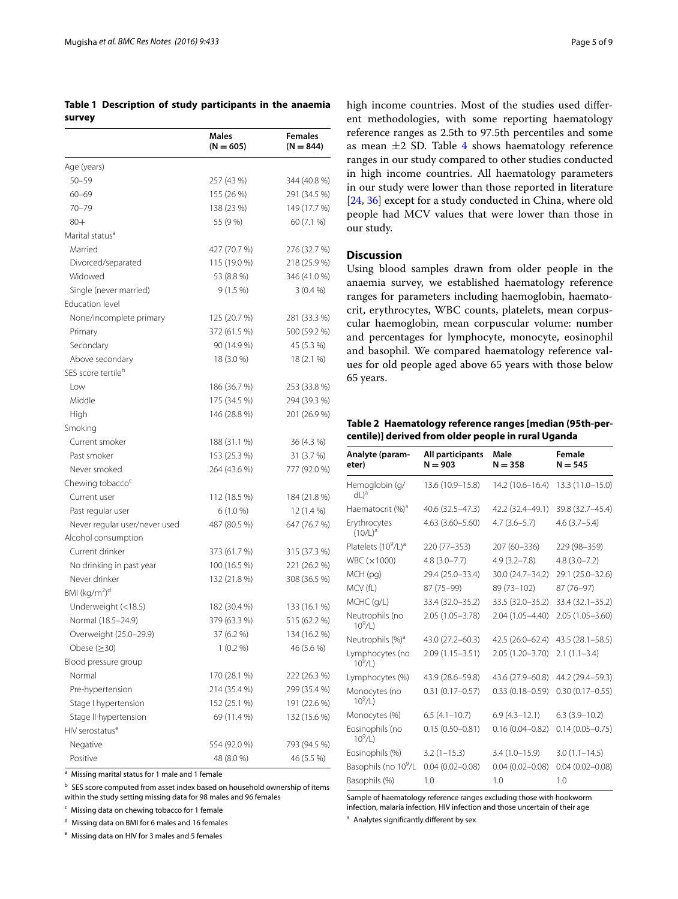<span id="page-4-0"></span>**Table 1 Description of study participants in the anaemia survey**

|                                       | <b>Males</b><br>$(N = 605)$ | Females<br>$(N = 844)$ |
|---------------------------------------|-----------------------------|------------------------|
| Age (years)                           |                             |                        |
| $50 - 59$                             | 257 (43 %)                  | 344 (40.8 %)           |
| $60 - 69$                             | 155 (26 %)                  | 291 (34.5 %)           |
| $70 - 79$                             | 138 (23 %)                  | 149 (17.7 %)           |
| $80+$                                 | 55 (9 %)                    | 60 (7.1 %)             |
| Marital status <sup>a</sup>           |                             |                        |
| Married                               | 427 (70.7 %)                | 276 (32.7 %)           |
| Divorced/separated                    | 115 (19.0 %)                | 218 (25.9 %)           |
| Widowed                               | 53 (8.8 %)                  | 346 (41.0 %)           |
| Single (never married)                | $9(1.5\%)$                  | $3(0.4\%)$             |
| Education level                       |                             |                        |
| None/incomplete primary               | 125 (20.7 %)                | 281 (33.3 %)           |
| Primary                               | 372 (61.5 %)                | 500 (59.2 %)           |
| Secondary                             | 90 (14.9 %)                 | 45 (5.3 %)             |
| Above secondary                       | 18 (3.0 %)                  | 18 (2.1 %)             |
| SES score tertileb                    |                             |                        |
| l ow                                  | 186 (36.7 %)                | 253 (33.8 %)           |
| Middle                                | 175 (34.5 %)                | 294 (39.3 %)           |
| High                                  | 146 (28.8 %)                | 201 (26.9 %)           |
| Smoking                               |                             |                        |
| Current smoker                        | 188 (31.1 %)                | 36 (4.3 %)             |
| Past smoker                           | 153 (25.3 %)                | 31 (3.7 %)             |
| Never smoked                          | 264 (43.6 %)                | 777 (92.0 %)           |
| Chewing tobacco <sup>c</sup>          |                             |                        |
| Current user                          | 112 (18.5 %)                | 184 (21.8 %)           |
| Past regular user                     | $6(1.0\%)$                  | 12 (1.4 %)             |
| Never regular user/never used         | 487 (80.5 %)                | 647 (76.7 %)           |
| Alcohol consumption                   |                             |                        |
| Current drinker                       | 373 (61.7 %)                | 315 (37.3 %)           |
| No drinking in past year              | 100 (16.5 %)                | 221 (26.2 %)           |
| Never drinker                         | 132 (21.8 %)                | 308 (36.5 %)           |
| BMI (kg/m <sup>2</sup> ) <sup>d</sup> |                             |                        |
| Underweight (<18.5)                   | 182 (30.4 %)                | 133 (16.1 %)           |
| Normal (18.5-24.9)                    | 379 (63.3 %)                | 515 (62.2 %)           |
| Overweight (25.0-29.9)                | 37 (6.2 %)                  | 134 (16.2 %)           |
| Obese $(≥30)$                         | $1(0.2\%)$                  | 46 (5.6 %)             |
| Blood pressure group                  |                             |                        |
| Normal                                | 170 (28.1 %)                | 222 (26.3 %)           |
| Pre-hypertension                      | 214 (35.4 %)                | 299 (35.4 %)           |
| Stage I hypertension                  | 152 (25.1 %)                | 191 (22.6 %)           |
| Stage II hypertension                 | 69 (11.4 %)                 | 132 (15.6 %)           |
| HIV serostatus <sup>e</sup>           |                             |                        |
| Negative                              | 554 (92.0 %)                | 793 (94.5 %)           |
| Positive                              | 48 (8.0 %)                  | 46 (5.5 %)             |

 $\overline{a}$  Missing marital status for 1 male and 1 female

b SES score computed from asset index based on household ownership of items within the study setting missing data for 98 males and 96 females

<sup>c</sup> Missing data on chewing tobacco for 1 female

<sup>d</sup> Missing data on BMI for 6 males and 16 females

<sup>e</sup> Missing data on HIV for 3 males and 5 females

high income countries. Most of the studies used different methodologies, with some reporting haematology reference ranges as 2.5th to 97.5th percentiles and some as mean  $\pm 2$  SD. Table [4](#page-6-0) shows haematology reference ranges in our study compared to other studies conducted in high income countries. All haematology parameters in our study were lower than those reported in literature [[24,](#page-7-20) [36](#page-8-9)] except for a study conducted in China, where old people had MCV values that were lower than those in our study.

## **Discussion**

Using blood samples drawn from older people in the anaemia survey, we established haematology reference ranges for parameters including haemoglobin, haematocrit, erythrocytes, WBC counts, platelets, mean corpuscular haemoglobin, mean corpuscular volume: number and percentages for lymphocyte, monocyte, eosinophil and basophil. We compared haematology reference values for old people aged above 65 years with those below 65 years.

<span id="page-4-1"></span>**Table 2 Haematology reference ranges [median (95th-percentile)] derived from older people in rural Uganda**

| Analyte (param-<br>eter)                    | All participants<br>$N = 903$ | Male<br>$N = 358$   | Female<br>$N = 545$ |
|---------------------------------------------|-------------------------------|---------------------|---------------------|
| Hemoglobin (g/<br>$dL$ <sup>a</sup>         | 13.6 (10.9-15.8)              | 14.2 (10.6-16.4)    | 13.3 (11.0-15.0)    |
| Haematocrit (%) <sup>a</sup>                | 40.6 (32.5 - 47.3)            | 42.2 (32.4-49.1)    | 39.8 (32.7-45.4)    |
| Erythrocytes<br>$(10/L)^a$                  | $4.63(3.60 - 5.60)$           | $4.7(3.6 - 5.7)$    | $4.6(3.7-5.4)$      |
| Platelets (10 <sup>9</sup> /L) <sup>a</sup> | 220 (77-353)                  | 207 (60-336)        | 229 (98-359)        |
| WBC ( $\times$ 1000)                        | $4.8(3.0 - 7.7)$              | $4.9(3.2 - 7.8)$    | $4.8(3.0 - 7.2)$    |
| MCH (pg)                                    | 29.4 (25.0-33.4)              | 30.0 (24.7-34.2)    | 29.1 (25.0-32.6)    |
| MCV (fL)                                    | 87 (75-99)                    | 89 (73-102)         | 87 (76-97)          |
| MCHC (g/L)                                  | 33.4 (32.0-35.2)              | 33.5 (32.0-35.2)    | 33.4 (32.1-35.2)    |
| Neutrophils (no<br>$10^9/1)$                | 2.05 (1.05-3.78)              | $2.04(1.05 - 4.40)$ | $2.05(1.05 - 3.60)$ |
| Neutrophils (%) <sup>a</sup>                | 43.0 (27.2-60.3)              | 42.5 (26.0-62.4)    | 43.5 (28.1-58.5)    |
| Lymphocytes (no<br>$10^{9}$ /L)             | $2.09(1.15 - 3.51)$           | $2.05(1.20 - 3.70)$ | $2.1(1.1-3.4)$      |
| Lymphocytes (%)                             | 43.9 (28.6-59.8)              | 43.6 (27.9-60.8)    | 44.2 (29.4-59.3)    |
| Monocytes (no<br>$10^{9}$ /L)               | $0.31(0.17 - 0.57)$           | $0.33(0.18 - 0.59)$ | $0.30(0.17 - 0.55)$ |
| Monocytes (%)                               | $6.5(4.1-10.7)$               | $6.9(4.3 - 12.1)$   | $6.3(3.9 - 10.2)$   |
| Eosinophils (no<br>$10^{9}$ /L)             | $0.15(0.50 - 0.81)$           | $0.16(0.04 - 0.82)$ | $0.14(0.05 - 0.75)$ |
| Eosinophils (%)                             | $3.2(1-15.3)$                 | $3.4(1.0-15.9)$     | $3.0(1.1 - 14.5)$   |
| Basophils (no 10 <sup>9</sup> /L            | $0.04(0.02 - 0.08)$           | $0.04(0.02 - 0.08)$ | $0.04(0.02 - 0.08)$ |
| Basophils (%)                               | 1.0                           | 1.0                 | 1.0                 |

Sample of haematology reference ranges excluding those with hookworm infection, malaria infection, HIV infection and those uncertain of their age

a Analytes significantly different by sex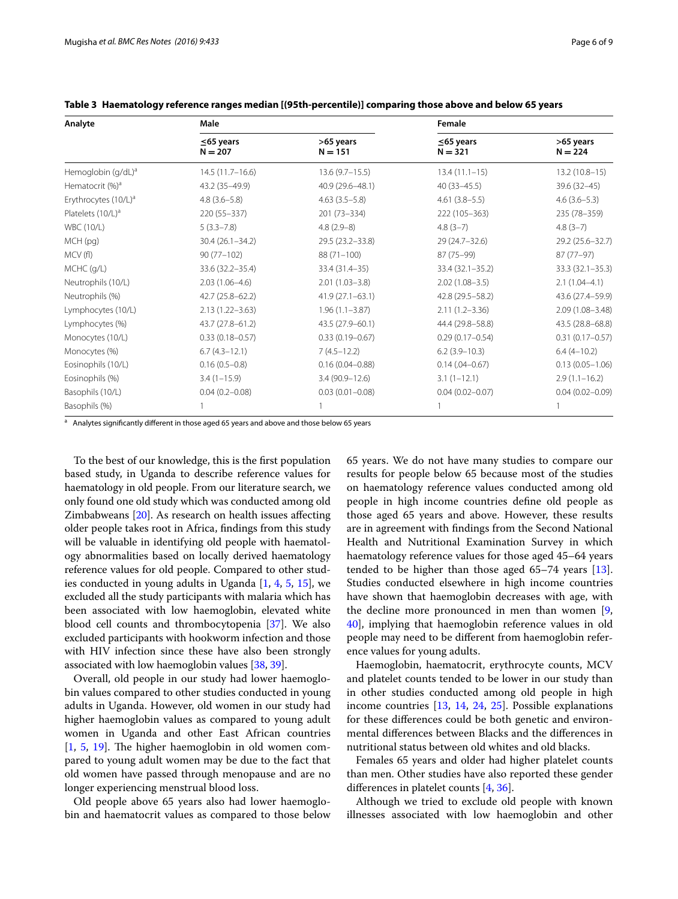| Analyte                          | Male                         |                        | Female                       |                        |  |
|----------------------------------|------------------------------|------------------------|------------------------------|------------------------|--|
|                                  | $\leq$ 65 years<br>$N = 207$ | >65 years<br>$N = 151$ | $\leq$ 65 years<br>$N = 321$ | >65 years<br>$N = 224$ |  |
| Hemoglobin (g/dL) <sup>a</sup>   | $14.5(11.7-16.6)$            | $13.6(9.7-15.5)$       | $13.4(11.1-15)$              | $13.2(10.8-15)$        |  |
| Hematocrit (%) <sup>a</sup>      | 43.2 (35-49.9)               | 40.9 (29.6-48.1)       | $40(33-45.5)$                | 39.6 (32-45)           |  |
| Erythrocytes (10/L) <sup>a</sup> | $4.8(3.6 - 5.8)$             | $4.63(3.5-5.8)$        | $4.61(3.8-5.5)$              | $4.6(3.6-5.3)$         |  |
| Platelets (10/L) <sup>a</sup>    | 220 (55-337)                 | 201 (73-334)           | 222 (105-363)                | 235 (78-359)           |  |
| <b>WBC (10/L)</b>                | $5(3.3 - 7.8)$               | $4.8(2.9-8)$           | $4.8(3-7)$                   | $4.8(3-7)$             |  |
| MCH (pg)                         | $30.4(26.1 - 34.2)$          | 29.5 (23.2-33.8)       | 29 (24.7-32.6)               | 29.2 (25.6-32.7)       |  |
| MCV(f)                           | $90(77 - 102)$               | 88 (71-100)            | 87 (75-99)                   | $87(77-97)$            |  |
| MCHC (g/L)                       | 33.6 (32.2-35.4)             | 33.4 (31.4-35)         | 33.4 (32.1-35.2)             | $33.3(32.1 - 35.3)$    |  |
| Neutrophils (10/L)               | $2.03(1.06-4.6)$             | $2.01(1.03 - 3.8)$     | $2.02(1.08 - 3.5)$           | $2.1(1.04-4.1)$        |  |
| Neutrophils (%)                  | 42.7 (25.8-62.2)             | $41.9(27.1 - 63.1)$    | 42.8 (29.5 - 58.2)           | 43.6 (27.4-59.9)       |  |
| Lymphocytes (10/L)               | $2.13(1.22 - 3.63)$          | $1.96(1.1 - 3.87)$     | $2.11(1.2 - 3.36)$           | 2.09 (1.08-3.48)       |  |
| Lymphocytes (%)                  | 43.7 (27.8-61.2)             | 43.5 (27.9-60.1)       | 44.4 (29.8-58.8)             | 43.5 (28.8-68.8)       |  |
| Monocytes (10/L)                 | $0.33(0.18 - 0.57)$          | $0.33(0.19 - 0.67)$    | $0.29(0.17 - 0.54)$          | $0.31(0.17 - 0.57)$    |  |
| Monocytes (%)                    | $6.7(4.3-12.1)$              | $7(4.5-12.2)$          | $6.2(3.9 - 10.3)$            | $6.4(4-10.2)$          |  |
| Eosinophils (10/L)               | $0.16(0.5-0.8)$              | $0.16(0.04 - 0.88)$    | $0.14(.04 - 0.67)$           | $0.13(0.05 - 1.06)$    |  |
| Eosinophils (%)                  | $3.4(1-15.9)$                | $3.4(90.9 - 12.6)$     | $3.1(1-12.1)$                | $2.9(1.1-16.2)$        |  |
| Basophils (10/L)                 | $0.04(0.2 - 0.08)$           | $0.03(0.01 - 0.08)$    | $0.04(0.02 - 0.07)$          | $0.04(0.02 - 0.09)$    |  |
| Basophils (%)                    |                              |                        |                              |                        |  |

<span id="page-5-0"></span>**Table 3 Haematology reference ranges median [(95th-percentile)] comparing those above and below 65 years**

<sup>a</sup> Analytes significantly different in those aged 65 years and above and those below 65 years

To the best of our knowledge, this is the first population based study, in Uganda to describe reference values for haematology in old people. From our literature search, we only found one old study which was conducted among old Zimbabweans [\[20](#page-7-16)]. As research on health issues affecting older people takes root in Africa, findings from this study will be valuable in identifying old people with haematology abnormalities based on locally derived haematology reference values for old people. Compared to other studies conducted in young adults in Uganda [\[1,](#page-7-0) [4,](#page-7-3) [5,](#page-7-12) [15\]](#page-7-13), we excluded all the study participants with malaria which has been associated with low haemoglobin, elevated white blood cell counts and thrombocytopenia [\[37\]](#page-8-10). We also excluded participants with hookworm infection and those with HIV infection since these have also been strongly associated with low haemoglobin values [\[38,](#page-8-11) [39](#page-8-12)].

Overall, old people in our study had lower haemoglobin values compared to other studies conducted in young adults in Uganda. However, old women in our study had higher haemoglobin values as compared to young adult women in Uganda and other East African countries [[1,](#page-7-0) [5,](#page-7-12) [19](#page-7-15)]. The higher haemoglobin in old women compared to young adult women may be due to the fact that old women have passed through menopause and are no longer experiencing menstrual blood loss.

Old people above 65 years also had lower haemoglobin and haematocrit values as compared to those below 65 years. We do not have many studies to compare our results for people below 65 because most of the studies on haematology reference values conducted among old people in high income countries define old people as those aged 65 years and above. However, these results are in agreement with findings from the Second National Health and Nutritional Examination Survey in which haematology reference values for those aged 45–64 years tended to be higher than those aged  $65-74$  years  $[13]$  $[13]$ . Studies conducted elsewhere in high income countries have shown that haemoglobin decreases with age, with the decline more pronounced in men than women [\[9](#page-7-7), [40\]](#page-8-13), implying that haemoglobin reference values in old people may need to be different from haemoglobin reference values for young adults.

Haemoglobin, haematocrit, erythrocyte counts, MCV and platelet counts tended to be lower in our study than in other studies conducted among old people in high income countries [[13,](#page-7-10) [14,](#page-7-11) [24](#page-7-20), [25](#page-7-21)]. Possible explanations for these differences could be both genetic and environmental differences between Blacks and the differences in nutritional status between old whites and old blacks.

Females 65 years and older had higher platelet counts than men. Other studies have also reported these gender differences in platelet counts [\[4,](#page-7-3) [36](#page-8-9)].

Although we tried to exclude old people with known illnesses associated with low haemoglobin and other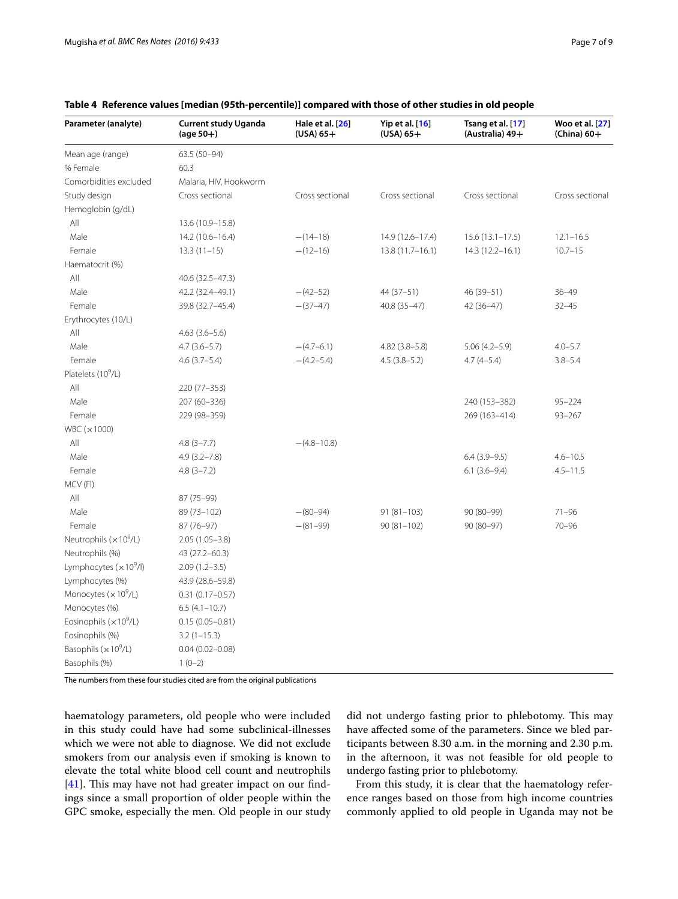| Parameter (analyte)               | <b>Current study Uganda</b><br>$(aqe 50+)$ | Hale et al. [26]<br>$(USA) 65+$ | Yip et al. [16]<br>$(USA) 65+$ | Tsang et al. [17]<br>(Australia) 49+ | <b>Woo et al.</b> [27]<br>(China) 60+ |
|-----------------------------------|--------------------------------------------|---------------------------------|--------------------------------|--------------------------------------|---------------------------------------|
| Mean age (range)                  | 63.5 (50-94)                               |                                 |                                |                                      |                                       |
| % Female                          | 60.3                                       |                                 |                                |                                      |                                       |
| Comorbidities excluded            | Malaria, HIV, Hookworm                     |                                 |                                |                                      |                                       |
| Study design                      | Cross sectional                            | Cross sectional                 | Cross sectional                | Cross sectional                      | Cross sectional                       |
| Hemoglobin (g/dL)                 |                                            |                                 |                                |                                      |                                       |
| All                               | 13.6 (10.9-15.8)                           |                                 |                                |                                      |                                       |
| Male                              | 14.2 (10.6-16.4)                           | $-(14-18)$                      | 14.9 (12.6-17.4)               | $15.6(13.1-17.5)$                    | $12.1 - 16.5$                         |
| Female                            | $13.3(11-15)$                              | $-(12-16)$                      | $13.8(11.7-16.1)$              | $14.3(12.2 - 16.1)$                  | $10.7 - 15$                           |
| Haematocrit (%)                   |                                            |                                 |                                |                                      |                                       |
| All                               | 40.6 (32.5–47.3)                           |                                 |                                |                                      |                                       |
| Male                              | 42.2 (32.4-49.1)                           | $-(42-52)$                      | $44(37-51)$                    | 46 (39-51)                           | $36 - 49$                             |
| Female                            | 39.8 (32.7-45.4)                           | $-(37-47)$                      | 40.8 (35-47)                   | $42(36-47)$                          | $32 - 45$                             |
| Erythrocytes (10/L)               |                                            |                                 |                                |                                      |                                       |
| All                               | $4.63(3.6 - 5.6)$                          |                                 |                                |                                      |                                       |
| Male                              | $4.7(3.6 - 5.7)$                           | $-(4.7-6.1)$                    | $4.82(3.8-5.8)$                | $5.06(4.2-5.9)$                      | $4.0 - 5.7$                           |
| Female                            | $4.6(3.7-5.4)$                             | $-(4.2-5.4)$                    | $4.5(3.8-5.2)$                 | $4.7(4-5.4)$                         | $3.8 - 5.4$                           |
| Platelets (10 <sup>9</sup> /L)    |                                            |                                 |                                |                                      |                                       |
| All                               | 220 (77-353)                               |                                 |                                |                                      |                                       |
| Male                              | 207 (60-336)                               |                                 |                                | 240 (153-382)                        | $95 - 224$                            |
| Female                            | 229 (98-359)                               |                                 |                                | 269 (163-414)                        | $93 - 267$                            |
| WBC (×1000)                       |                                            |                                 |                                |                                      |                                       |
| All                               | $4.8(3 - 7.7)$                             | $-(4.8 - 10.8)$                 |                                |                                      |                                       |
| Male                              | $4.9(3.2 - 7.8)$                           |                                 |                                | $6.4(3.9-9.5)$                       | $4.6 - 10.5$                          |
| Female                            | $4.8(3 - 7.2)$                             |                                 |                                | $6.1(3.6-9.4)$                       | $4.5 - 11.5$                          |
| MCV (FI)                          |                                            |                                 |                                |                                      |                                       |
| All                               | 87 (75-99)                                 |                                 |                                |                                      |                                       |
| Male                              | 89 (73-102)                                | $-(80-94)$                      | $91(81 - 103)$                 | 90 (80-99)                           | $71 - 96$                             |
| Female                            | 87 (76-97)                                 | $-(81-99)$                      | $90(81 - 102)$                 | $90(80-97)$                          | $70 - 96$                             |
| Neutrophils (x10 <sup>9</sup> /L) | $2.05(1.05 - 3.8)$                         |                                 |                                |                                      |                                       |
| Neutrophils (%)                   | 43 (27.2-60.3)                             |                                 |                                |                                      |                                       |
| Lymphocytes $(x 10^9/l)$          | $2.09(1.2 - 3.5)$                          |                                 |                                |                                      |                                       |
| Lymphocytes (%)                   | 43.9 (28.6-59.8)                           |                                 |                                |                                      |                                       |
| Monocytes $(x 10^9/L)$            | $0.31(0.17 - 0.57)$                        |                                 |                                |                                      |                                       |
| Monocytes (%)                     | $6.5(4.1-10.7)$                            |                                 |                                |                                      |                                       |
| Eosinophils $(x 10^9/L)$          | $0.15(0.05 - 0.81)$                        |                                 |                                |                                      |                                       |
| Eosinophils (%)                   | $3.2(1-15.3)$                              |                                 |                                |                                      |                                       |
| Basophils ( $\times 10^9$ /L)     | $0.04(0.02 - 0.08)$                        |                                 |                                |                                      |                                       |
| Basophils (%)                     | $1(0-2)$                                   |                                 |                                |                                      |                                       |

#### <span id="page-6-0"></span>**Table 4 Reference values [median (95th-percentile)] compared with those of other studies in old people**

The numbers from these four studies cited are from the original publications

haematology parameters, old people who were included in this study could have had some subclinical-illnesses which we were not able to diagnose. We did not exclude smokers from our analysis even if smoking is known to elevate the total white blood cell count and neutrophils [[41\]](#page-8-14). This may have not had greater impact on our findings since a small proportion of older people within the GPC smoke, especially the men. Old people in our study

did not undergo fasting prior to phlebotomy. This may have affected some of the parameters. Since we bled participants between 8.30 a.m. in the morning and 2.30 p.m. in the afternoon, it was not feasible for old people to undergo fasting prior to phlebotomy.

From this study, it is clear that the haematology reference ranges based on those from high income countries commonly applied to old people in Uganda may not be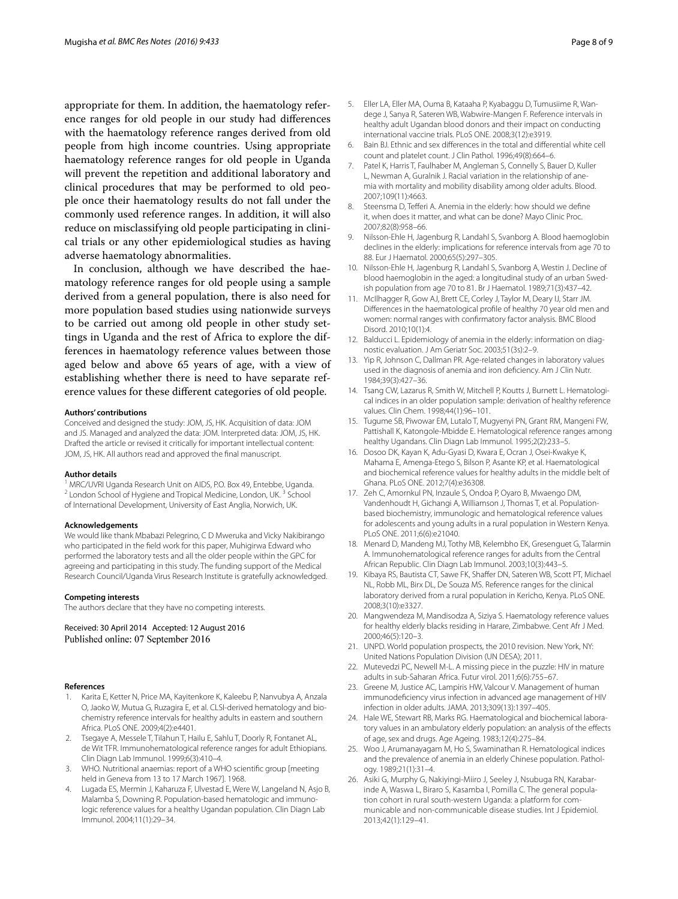appropriate for them. In addition, the haematology reference ranges for old people in our study had differences with the haematology reference ranges derived from old people from high income countries. Using appropriate haematology reference ranges for old people in Uganda will prevent the repetition and additional laboratory and clinical procedures that may be performed to old people once their haematology results do not fall under the commonly used reference ranges. In addition, it will also reduce on misclassifying old people participating in clinical trials or any other epidemiological studies as having adverse haematology abnormalities.

In conclusion, although we have described the haematology reference ranges for old people using a sample derived from a general population, there is also need for more population based studies using nationwide surveys to be carried out among old people in other study settings in Uganda and the rest of Africa to explore the differences in haematology reference values between those aged below and above 65 years of age, with a view of establishing whether there is need to have separate reference values for these different categories of old people.

#### **Authors' contributions**

Conceived and designed the study: JOM, JS, HK. Acquisition of data: JOM and JS. Managed and analyzed the data: JOM. Interpreted data: JOM, JS, HK. Drafted the article or revised it critically for important intellectual content: JOM, JS, HK. All authors read and approved the final manuscript.

#### **Author details**

<sup>1</sup> MRC/UVRI Uganda Research Unit on AIDS, P.O. Box 49, Entebbe, Uganda.<br><sup>2</sup> London School of Hygiene and Tropical Medicine, London, UK. <sup>3</sup> School of International Development, University of East Anglia, Norwich, UK.

#### **Acknowledgements**

We would like thank Mbabazi Pelegrino, C D Mweruka and Vicky Nakibirango who participated in the field work for this paper, Muhigirwa Edward who performed the laboratory tests and all the older people within the GPC for agreeing and participating in this study. The funding support of the Medical Research Council/Uganda Virus Research Institute is gratefully acknowledged.

#### **Competing interests**

The authors declare that they have no competing interests.

Received: 30 April 2014 Accepted: 12 August 2016 Published online: 07 September 2016

#### **References**

- <span id="page-7-0"></span>1. Karita E, Ketter N, Price MA, Kayitenkore K, Kaleebu P, Nanvubya A, Anzala O, Jaoko W, Mutua G, Ruzagira E, et al. CLSI-derived hematology and biochemistry reference intervals for healthy adults in eastern and southern Africa. PLoS ONE. 2009;4(2):e4401.
- <span id="page-7-1"></span>2. Tsegaye A, Messele T, Tilahun T, Hailu E, Sahlu T, Doorly R, Fontanet AL, de Wit TFR. Immunohematological reference ranges for adult Ethiopians. Clin Diagn Lab Immunol. 1999;6(3):410–4.
- <span id="page-7-2"></span>3. WHO. Nutritional anaemias: report of a WHO scientific group [meeting held in Geneva from 13 to 17 March 1967]. 1968.
- <span id="page-7-3"></span>4. Lugada ES, Mermin J, Kaharuza F, Ulvestad E, Were W, Langeland N, Asjo B, Malamba S, Downing R. Population-based hematologic and immunologic reference values for a healthy Ugandan population. Clin Diagn Lab Immunol. 2004;11(1):29–34.
- <span id="page-7-12"></span>5. Eller LA, Eller MA, Ouma B, Kataaha P, Kyabaggu D, Tumusiime R, Wandege J, Sanya R, Sateren WB, Wabwire-Mangen F. Reference intervals in healthy adult Ugandan blood donors and their impact on conducting international vaccine trials. PLoS ONE. 2008;3(12):e3919.
- <span id="page-7-4"></span>6. Bain BJ. Ethnic and sex differences in the total and differential white cell count and platelet count. J Clin Pathol. 1996;49(8):664–6.
- <span id="page-7-5"></span>7. Patel K, Harris T, Faulhaber M, Angleman S, Connelly S, Bauer D, Kuller L, Newman A, Guralnik J. Racial variation in the relationship of anemia with mortality and mobility disability among older adults. Blood. 2007;109(11):4663.
- <span id="page-7-6"></span>Steensma D, Tefferi A. Anemia in the elderly: how should we define it, when does it matter, and what can be done? Mayo Clinic Proc. 2007;82(8):958–66.
- <span id="page-7-7"></span>9. Nilsson-Ehle H, Jagenburg R, Landahl S, Svanborg A. Blood haemoglobin declines in the elderly: implications for reference intervals from age 70 to 88. Eur J Haematol. 2000;65(5):297–305.
- 10. Nilsson-Ehle H, Jagenburg R, Landahl S, Svanborg A, Westin J. Decline of blood haemoglobin in the aged: a longitudinal study of an urban Swedish population from age 70 to 81. Br J Haematol. 1989;71(3):437–42.
- <span id="page-7-8"></span>11. McIlhagger R, Gow AJ, Brett CE, Corley J, Taylor M, Deary IJ, Starr JM. Differences in the haematological profile of healthy 70 year old men and women: normal ranges with confirmatory factor analysis. BMC Blood Disord. 2010;10(1):4.
- <span id="page-7-9"></span>12. Balducci L. Epidemiology of anemia in the elderly: information on diagnostic evaluation. J Am Geriatr Soc. 2003;51(3s):2–9.
- <span id="page-7-10"></span>13. Yip R, Johnson C, Dallman PR. Age-related changes in laboratory values used in the diagnosis of anemia and iron deficiency. Am J Clin Nutr. 1984;39(3):427–36.
- <span id="page-7-11"></span>14. Tsang CW, Lazarus R, Smith W, Mitchell P, Koutts J, Burnett L. Hematological indices in an older population sample: derivation of healthy reference values. Clin Chem. 1998;44(1):96–101.
- <span id="page-7-13"></span>15. Tugume SB, Piwowar EM, Lutalo T, Mugyenyi PN, Grant RM, Mangeni FW, Pattishall K, Katongole-Mbidde E. Hematological reference ranges among healthy Ugandans. Clin Diagn Lab Immunol. 1995;2(2):233–5.
- <span id="page-7-14"></span>16. Dosoo DK, Kayan K, Adu-Gyasi D, Kwara E, Ocran J, Osei-Kwakye K, Mahama E, Amenga-Etego S, Bilson P, Asante KP, et al. Haematological and biochemical reference values for healthy adults in the middle belt of Ghana. PLoS ONE. 2012;7(4):e36308.
- <span id="page-7-23"></span>17. Zeh C, Amornkul PN, Inzaule S, Ondoa P, Oyaro B, Mwaengo DM, Vandenhoudt H, Gichangi A, Williamson J, Thomas T, et al. Populationbased biochemistry, immunologic and hematological reference values for adolescents and young adults in a rural population in Western Kenya. PLoS ONE. 2011;6(6):e21040.
- 18. Menard D, Mandeng MJ, Tothy MB, Kelembho EK, Gresenguet G, Talarmin A. Immunohematological reference ranges for adults from the Central African Republic. Clin Diagn Lab Immunol. 2003;10(3):443–5.
- <span id="page-7-15"></span>19. Kibaya RS, Bautista CT, Sawe FK, Shaffer DN, Sateren WB, Scott PT, Michael NL, Robb ML, Birx DL, De Souza MS. Reference ranges for the clinical laboratory derived from a rural population in Kericho, Kenya. PLoS ONE. 2008;3(10):e3327.
- <span id="page-7-16"></span>20. Mangwendeza M, Mandisodza A, Siziya S. Haematology reference values for healthy elderly blacks residing in Harare, Zimbabwe. Cent Afr J Med. 2000;46(5):120–3.
- <span id="page-7-17"></span>21. UNPD. World population prospects, the 2010 revision. New York, NY: United Nations Population Division (UN DESA); 2011.
- <span id="page-7-18"></span>22. Mutevedzi PC, Newell M-L. A missing piece in the puzzle: HIV in mature adults in sub-Saharan Africa. Futur virol. 2011;6(6):755–67.
- <span id="page-7-19"></span>23. Greene M, Justice AC, Lampiris HW, Valcour V. Management of human immunodeficiency virus infection in advanced age management of HIV infection in older adults. JAMA. 2013;309(13):1397–405.
- <span id="page-7-20"></span>24. Hale WE, Stewart RB, Marks RG. Haematological and biochemical laboratory values in an ambulatory elderly population: an analysis of the effects of age, sex and drugs. Age Ageing. 1983;12(4):275–84.
- <span id="page-7-21"></span>25. Woo J, Arumanayagam M, Ho S, Swaminathan R. Hematological indices and the prevalence of anemia in an elderly Chinese population. Pathology. 1989;21(1):31–4.
- <span id="page-7-22"></span>26. Asiki G, Murphy G, Nakiyingi-Miiro J, Seeley J, Nsubuga RN, Karabarinde A, Waswa L, Biraro S, Kasamba I, Pomilla C. The general population cohort in rural south-western Uganda: a platform for communicable and non-communicable disease studies. Int J Epidemiol. 2013;42(1):129–41.